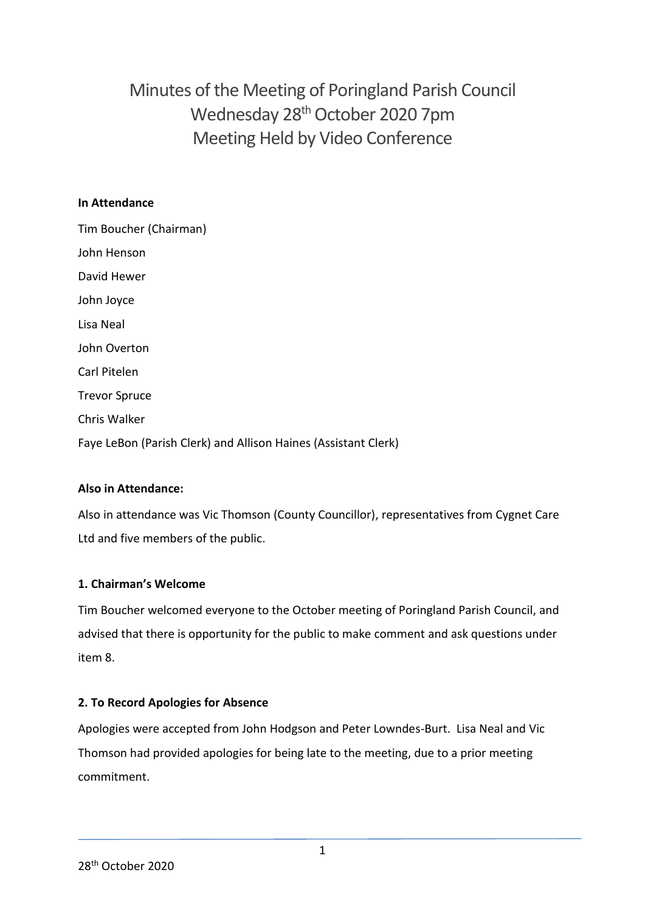Minutes of the Meeting of Poringland Parish Council Wednesday 28<sup>th</sup> October 2020 7pm Meeting Held by Video Conference

#### **In Attendance**

Tim Boucher (Chairman) John Henson David Hewer John Joyce Lisa Neal John Overton Carl Pitelen Trevor Spruce Chris Walker Faye LeBon (Parish Clerk) and Allison Haines (Assistant Clerk)

#### **Also in Attendance:**

Also in attendance was Vic Thomson (County Councillor), representatives from Cygnet Care Ltd and five members of the public.

#### **1. Chairman's Welcome**

Tim Boucher welcomed everyone to the October meeting of Poringland Parish Council, and advised that there is opportunity for the public to make comment and ask questions under item 8.

#### **2. To Record Apologies for Absence**

Apologies were accepted from John Hodgson and Peter Lowndes-Burt. Lisa Neal and Vic Thomson had provided apologies for being late to the meeting, due to a prior meeting commitment.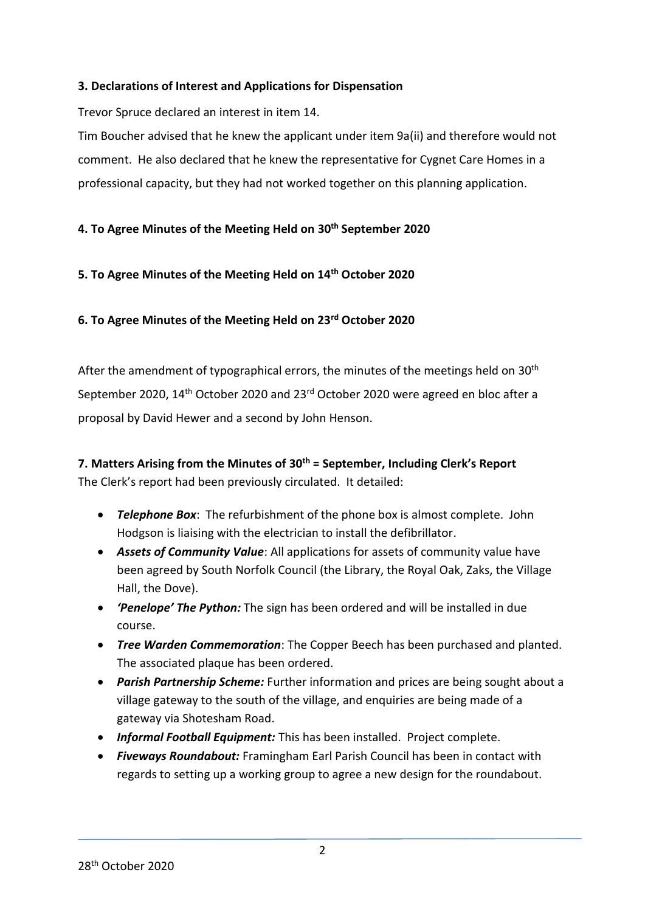#### **3. Declarations of Interest and Applications for Dispensation**

Trevor Spruce declared an interest in item 14.

Tim Boucher advised that he knew the applicant under item 9a(ii) and therefore would not comment. He also declared that he knew the representative for Cygnet Care Homes in a professional capacity, but they had not worked together on this planning application.

#### **4. To Agree Minutes of the Meeting Held on 30th September 2020**

#### **5. To Agree Minutes of the Meeting Held on 14th October 2020**

#### **6. To Agree Minutes of the Meeting Held on 23rd October 2020**

After the amendment of typographical errors, the minutes of the meetings held on 30<sup>th</sup> September 2020, 14th October 2020 and 23rd October 2020 were agreed en bloc after a proposal by David Hewer and a second by John Henson.

## **7. Matters Arising from the Minutes of 30th = September, Including Clerk's Report** The Clerk's report had been previously circulated. It detailed:

- *Telephone Box*: The refurbishment of the phone box is almost complete. John Hodgson is liaising with the electrician to install the defibrillator.
- *Assets of Community Value*: All applications for assets of community value have been agreed by South Norfolk Council (the Library, the Royal Oak, Zaks, the Village Hall, the Dove).
- *'Penelope' The Python:* The sign has been ordered and will be installed in due course.
- *Tree Warden Commemoration*: The Copper Beech has been purchased and planted. The associated plaque has been ordered.
- *Parish Partnership Scheme:* Further information and prices are being sought about a village gateway to the south of the village, and enquiries are being made of a gateway via Shotesham Road.
- *Informal Football Equipment:* This has been installed. Project complete.
- *Fiveways Roundabout:* Framingham Earl Parish Council has been in contact with regards to setting up a working group to agree a new design for the roundabout.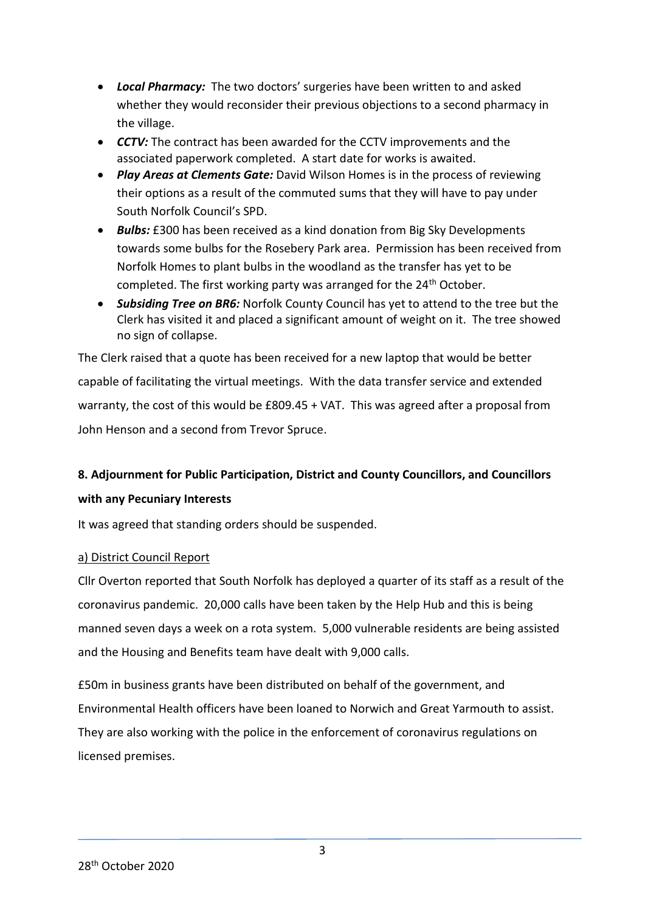- *Local Pharmacy:* The two doctors' surgeries have been written to and asked whether they would reconsider their previous objections to a second pharmacy in the village.
- *CCTV:* The contract has been awarded for the CCTV improvements and the associated paperwork completed. A start date for works is awaited.
- *Play Areas at Clements Gate:* David Wilson Homes is in the process of reviewing their options as a result of the commuted sums that they will have to pay under South Norfolk Council's SPD.
- *Bulbs:* £300 has been received as a kind donation from Big Sky Developments towards some bulbs for the Rosebery Park area. Permission has been received from Norfolk Homes to plant bulbs in the woodland as the transfer has yet to be completed. The first working party was arranged for the 24<sup>th</sup> October.
- *Subsiding Tree on BR6:* Norfolk County Council has yet to attend to the tree but the Clerk has visited it and placed a significant amount of weight on it. The tree showed no sign of collapse.

The Clerk raised that a quote has been received for a new laptop that would be better capable of facilitating the virtual meetings. With the data transfer service and extended warranty, the cost of this would be £809.45 + VAT. This was agreed after a proposal from John Henson and a second from Trevor Spruce.

# **8. Adjournment for Public Participation, District and County Councillors, and Councillors with any Pecuniary Interests**

It was agreed that standing orders should be suspended.

## a) District Council Report

Cllr Overton reported that South Norfolk has deployed a quarter of its staff as a result of the coronavirus pandemic. 20,000 calls have been taken by the Help Hub and this is being manned seven days a week on a rota system. 5,000 vulnerable residents are being assisted and the Housing and Benefits team have dealt with 9,000 calls.

£50m in business grants have been distributed on behalf of the government, and Environmental Health officers have been loaned to Norwich and Great Yarmouth to assist. They are also working with the police in the enforcement of coronavirus regulations on licensed premises.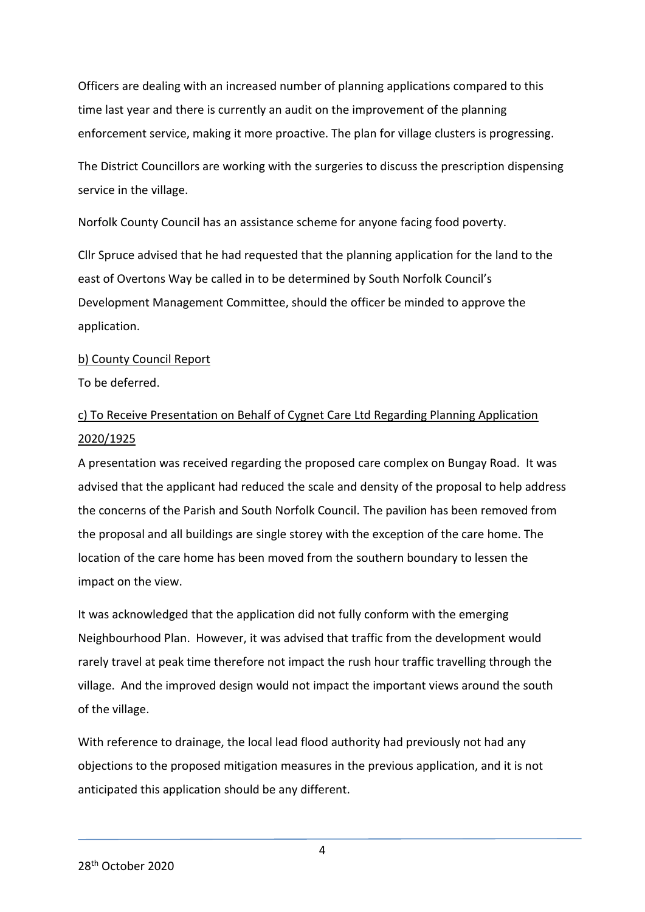Officers are dealing with an increased number of planning applications compared to this time last year and there is currently an audit on the improvement of the planning enforcement service, making it more proactive. The plan for village clusters is progressing.

The District Councillors are working with the surgeries to discuss the prescription dispensing service in the village.

Norfolk County Council has an assistance scheme for anyone facing food poverty.

Cllr Spruce advised that he had requested that the planning application for the land to the east of Overtons Way be called in to be determined by South Norfolk Council's Development Management Committee, should the officer be minded to approve the application.

#### b) County Council Report

To be deferred.

## c) To Receive Presentation on Behalf of Cygnet Care Ltd Regarding Planning Application 2020/1925

A presentation was received regarding the proposed care complex on Bungay Road. It was advised that the applicant had reduced the scale and density of the proposal to help address the concerns of the Parish and South Norfolk Council. The pavilion has been removed from the proposal and all buildings are single storey with the exception of the care home. The location of the care home has been moved from the southern boundary to lessen the impact on the view.

It was acknowledged that the application did not fully conform with the emerging Neighbourhood Plan. However, it was advised that traffic from the development would rarely travel at peak time therefore not impact the rush hour traffic travelling through the village. And the improved design would not impact the important views around the south of the village.

With reference to drainage, the local lead flood authority had previously not had any objections to the proposed mitigation measures in the previous application, and it is not anticipated this application should be any different.

4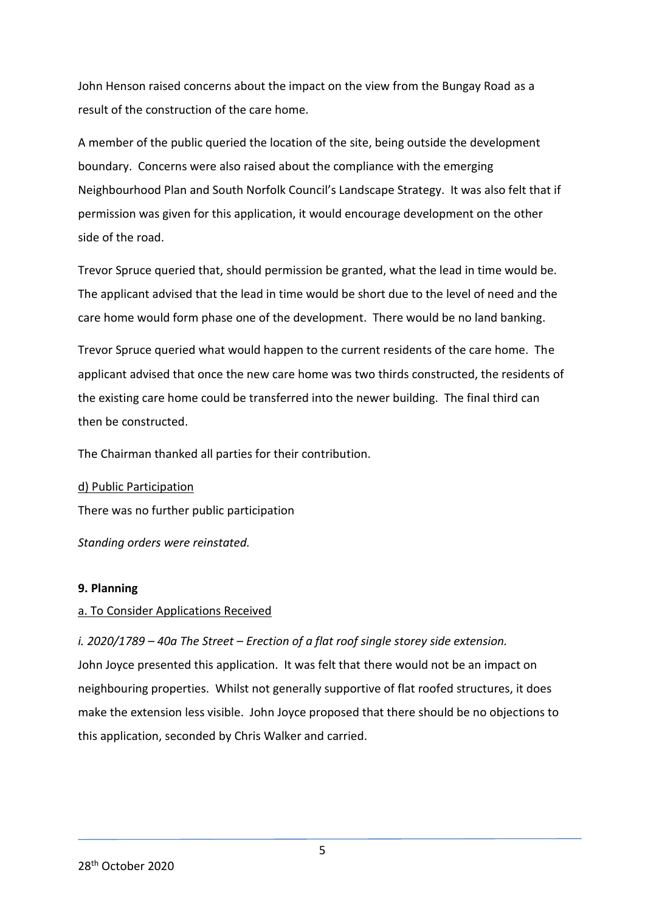John Henson raised concerns about the impact on the view from the Bungay Road as a result of the construction of the care home.

A member of the public queried the location of the site, being outside the development boundary. Concerns were also raised about the compliance with the emerging Neighbourhood Plan and South Norfolk Council's Landscape Strategy. It was also felt that if permission was given for this application, it would encourage development on the other side of the road.

Trevor Spruce queried that, should permission be granted, what the lead in time would be. The applicant advised that the lead in time would be short due to the level of need and the care home would form phase one of the development. There would be no land banking.

Trevor Spruce queried what would happen to the current residents of the care home. The applicant advised that once the new care home was two thirds constructed, the residents of the existing care home could be transferred into the newer building. The final third can then be constructed.

The Chairman thanked all parties for their contribution.

#### d) Public Participation

There was no further public participation

*Standing orders were reinstated.* 

#### **9. Planning**

#### a. To Consider Applications Received

*i. 2020/1789 – 40a The Street – Erection of a flat roof single storey side extension.* 

John Joyce presented this application. It was felt that there would not be an impact on neighbouring properties. Whilst not generally supportive of flat roofed structures, it does make the extension less visible. John Joyce proposed that there should be no objections to this application, seconded by Chris Walker and carried.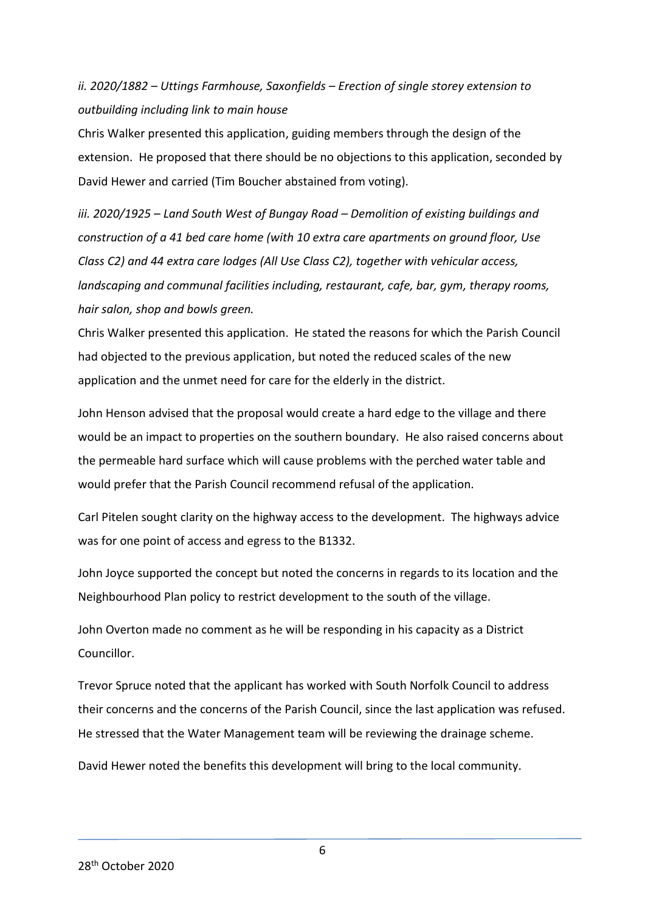*ii. 2020/1882 – Uttings Farmhouse, Saxonfields – Erection of single storey extension to outbuilding including link to main house*

Chris Walker presented this application, guiding members through the design of the extension. He proposed that there should be no objections to this application, seconded by David Hewer and carried (Tim Boucher abstained from voting).

*iii. 2020/1925 – Land South West of Bungay Road – Demolition of existing buildings and construction of a 41 bed care home (with 10 extra care apartments on ground floor, Use Class C2) and 44 extra care lodges (All Use Class C2), together with vehicular access, landscaping and communal facilities including, restaurant, cafe, bar, gym, therapy rooms, hair salon, shop and bowls green.*

Chris Walker presented this application. He stated the reasons for which the Parish Council had objected to the previous application, but noted the reduced scales of the new application and the unmet need for care for the elderly in the district.

John Henson advised that the proposal would create a hard edge to the village and there would be an impact to properties on the southern boundary. He also raised concerns about the permeable hard surface which will cause problems with the perched water table and would prefer that the Parish Council recommend refusal of the application.

Carl Pitelen sought clarity on the highway access to the development. The highways advice was for one point of access and egress to the B1332.

John Joyce supported the concept but noted the concerns in regards to its location and the Neighbourhood Plan policy to restrict development to the south of the village.

John Overton made no comment as he will be responding in his capacity as a District Councillor.

Trevor Spruce noted that the applicant has worked with South Norfolk Council to address their concerns and the concerns of the Parish Council, since the last application was refused. He stressed that the Water Management team will be reviewing the drainage scheme.

David Hewer noted the benefits this development will bring to the local community.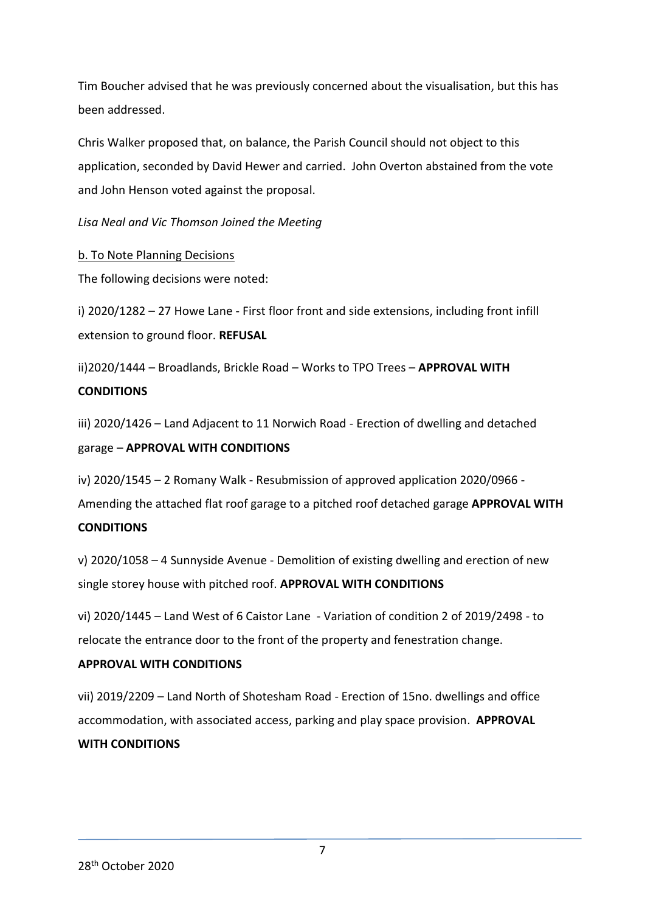Tim Boucher advised that he was previously concerned about the visualisation, but this has been addressed.

Chris Walker proposed that, on balance, the Parish Council should not object to this application, seconded by David Hewer and carried. John Overton abstained from the vote and John Henson voted against the proposal.

*Lisa Neal and Vic Thomson Joined the Meeting*

b. To Note Planning Decisions

The following decisions were noted:

i) 2020/1282 – 27 Howe Lane - First floor front and side extensions, including front infill extension to ground floor. **REFUSAL**

ii)2020/1444 – Broadlands, Brickle Road – Works to TPO Trees – **APPROVAL WITH CONDITIONS**

iii) 2020/1426 – Land Adjacent to 11 Norwich Road - Erection of dwelling and detached garage – **APPROVAL WITH CONDITIONS**

iv) 2020/1545 – 2 Romany Walk - Resubmission of approved application 2020/0966 - Amending the attached flat roof garage to a pitched roof detached garage **APPROVAL WITH CONDITIONS**

v) 2020/1058 – 4 Sunnyside Avenue - Demolition of existing dwelling and erection of new single storey house with pitched roof. **APPROVAL WITH CONDITIONS**

vi) 2020/1445 – Land West of 6 Caistor Lane - Variation of condition 2 of 2019/2498 - to relocate the entrance door to the front of the property and fenestration change.

## **APPROVAL WITH CONDITIONS**

vii) 2019/2209 – Land North of Shotesham Road - Erection of 15no. dwellings and office accommodation, with associated access, parking and play space provision. **APPROVAL WITH CONDITIONS**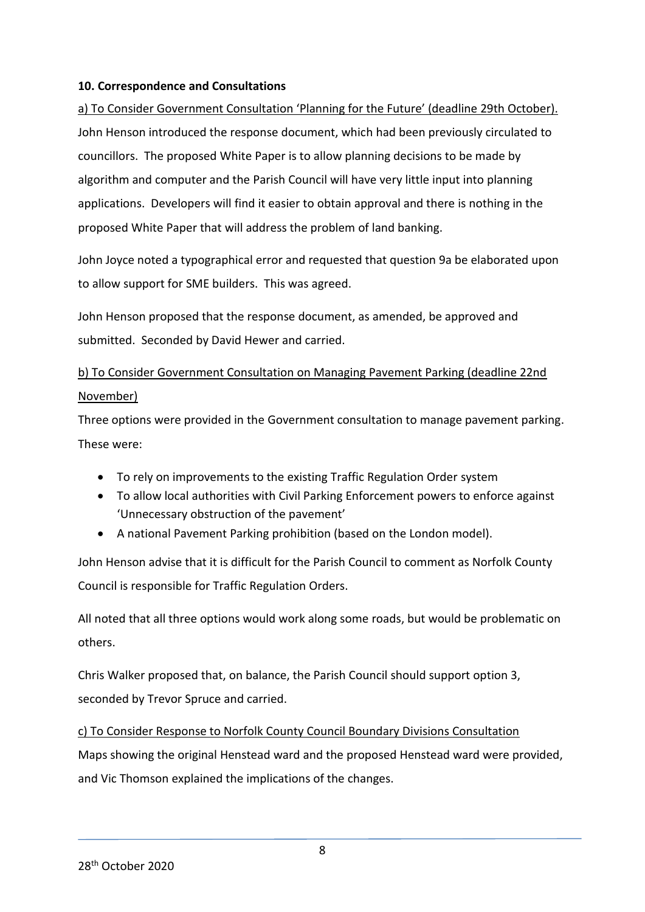#### **10. Correspondence and Consultations**

a) To Consider Government Consultation 'Planning for the Future' (deadline 29th October). John Henson introduced the response document, which had been previously circulated to councillors. The proposed White Paper is to allow planning decisions to be made by algorithm and computer and the Parish Council will have very little input into planning applications. Developers will find it easier to obtain approval and there is nothing in the proposed White Paper that will address the problem of land banking.

John Joyce noted a typographical error and requested that question 9a be elaborated upon to allow support for SME builders. This was agreed.

John Henson proposed that the response document, as amended, be approved and submitted. Seconded by David Hewer and carried.

## b) To Consider Government Consultation on Managing Pavement Parking (deadline 22nd November)

Three options were provided in the Government consultation to manage pavement parking. These were:

- To rely on improvements to the existing Traffic Regulation Order system
- To allow local authorities with Civil Parking Enforcement powers to enforce against 'Unnecessary obstruction of the pavement'
- A national Pavement Parking prohibition (based on the London model).

John Henson advise that it is difficult for the Parish Council to comment as Norfolk County Council is responsible for Traffic Regulation Orders.

All noted that all three options would work along some roads, but would be problematic on others.

Chris Walker proposed that, on balance, the Parish Council should support option 3, seconded by Trevor Spruce and carried.

c) To Consider Response to Norfolk County Council Boundary Divisions Consultation Maps showing the original Henstead ward and the proposed Henstead ward were provided, and Vic Thomson explained the implications of the changes.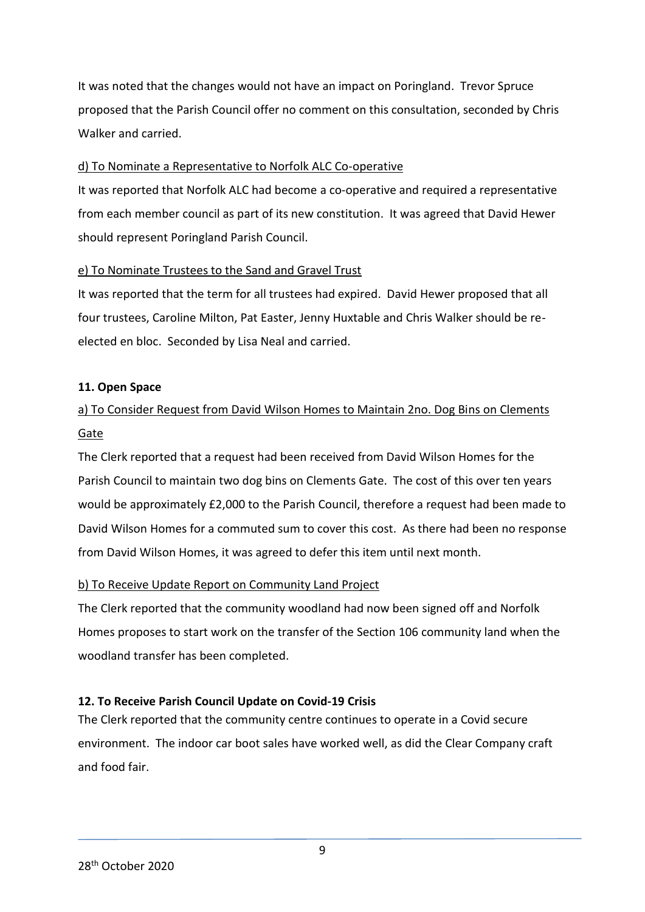It was noted that the changes would not have an impact on Poringland. Trevor Spruce proposed that the Parish Council offer no comment on this consultation, seconded by Chris Walker and carried.

#### d) To Nominate a Representative to Norfolk ALC Co-operative

It was reported that Norfolk ALC had become a co-operative and required a representative from each member council as part of its new constitution. It was agreed that David Hewer should represent Poringland Parish Council.

## e) To Nominate Trustees to the Sand and Gravel Trust

It was reported that the term for all trustees had expired. David Hewer proposed that all four trustees, Caroline Milton, Pat Easter, Jenny Huxtable and Chris Walker should be reelected en bloc. Seconded by Lisa Neal and carried.

#### **11. Open Space**

## a) To Consider Request from David Wilson Homes to Maintain 2no. Dog Bins on Clements Gate

The Clerk reported that a request had been received from David Wilson Homes for the Parish Council to maintain two dog bins on Clements Gate. The cost of this over ten years would be approximately £2,000 to the Parish Council, therefore a request had been made to David Wilson Homes for a commuted sum to cover this cost. As there had been no response from David Wilson Homes, it was agreed to defer this item until next month.

#### b) To Receive Update Report on Community Land Project

The Clerk reported that the community woodland had now been signed off and Norfolk Homes proposes to start work on the transfer of the Section 106 community land when the woodland transfer has been completed.

## **12. To Receive Parish Council Update on Covid-19 Crisis**

The Clerk reported that the community centre continues to operate in a Covid secure environment. The indoor car boot sales have worked well, as did the Clear Company craft and food fair.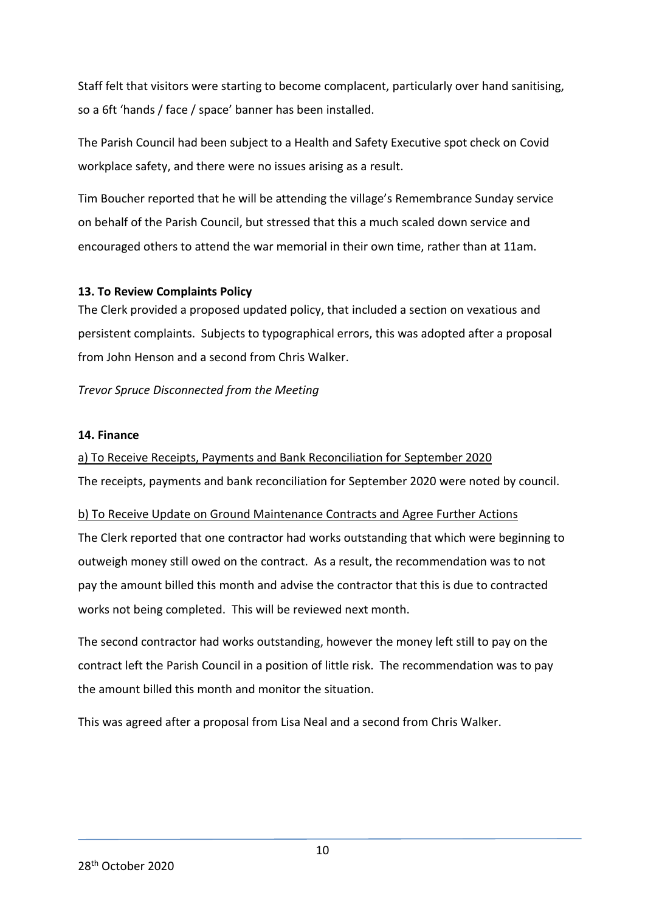Staff felt that visitors were starting to become complacent, particularly over hand sanitising, so a 6ft 'hands / face / space' banner has been installed.

The Parish Council had been subject to a Health and Safety Executive spot check on Covid workplace safety, and there were no issues arising as a result.

Tim Boucher reported that he will be attending the village's Remembrance Sunday service on behalf of the Parish Council, but stressed that this a much scaled down service and encouraged others to attend the war memorial in their own time, rather than at 11am.

#### **13. To Review Complaints Policy**

The Clerk provided a proposed updated policy, that included a section on vexatious and persistent complaints. Subjects to typographical errors, this was adopted after a proposal from John Henson and a second from Chris Walker.

*Trevor Spruce Disconnected from the Meeting*

#### **14. Finance**

a) To Receive Receipts, Payments and Bank Reconciliation for September 2020 The receipts, payments and bank reconciliation for September 2020 were noted by council.

#### b) To Receive Update on Ground Maintenance Contracts and Agree Further Actions

The Clerk reported that one contractor had works outstanding that which were beginning to outweigh money still owed on the contract. As a result, the recommendation was to not pay the amount billed this month and advise the contractor that this is due to contracted works not being completed. This will be reviewed next month.

The second contractor had works outstanding, however the money left still to pay on the contract left the Parish Council in a position of little risk. The recommendation was to pay the amount billed this month and monitor the situation.

This was agreed after a proposal from Lisa Neal and a second from Chris Walker.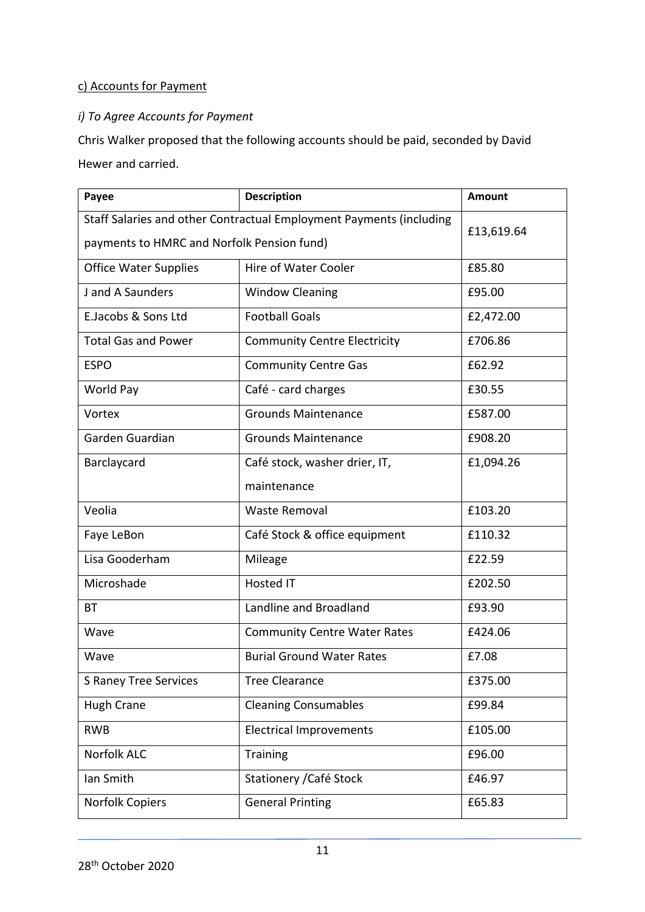### c) Accounts for Payment

## *i) To Agree Accounts for Payment*

Chris Walker proposed that the following accounts should be paid, seconded by David Hewer and carried.

| Payee                                                                                                             | <b>Description</b>                  | Amount     |
|-------------------------------------------------------------------------------------------------------------------|-------------------------------------|------------|
| Staff Salaries and other Contractual Employment Payments (including<br>payments to HMRC and Norfolk Pension fund) |                                     | £13,619.64 |
| <b>Office Water Supplies</b>                                                                                      | <b>Hire of Water Cooler</b>         | £85.80     |
| J and A Saunders                                                                                                  | <b>Window Cleaning</b>              | £95.00     |
| E.Jacobs & Sons Ltd                                                                                               | <b>Football Goals</b>               | £2,472.00  |
| <b>Total Gas and Power</b>                                                                                        | <b>Community Centre Electricity</b> | £706.86    |
| <b>ESPO</b>                                                                                                       | <b>Community Centre Gas</b>         | £62.92     |
| World Pay                                                                                                         | Café - card charges                 | £30.55     |
| Vortex                                                                                                            | <b>Grounds Maintenance</b>          | £587.00    |
| Garden Guardian                                                                                                   | <b>Grounds Maintenance</b>          | £908.20    |
| Barclaycard                                                                                                       | Café stock, washer drier, IT,       | £1,094.26  |
|                                                                                                                   | maintenance                         |            |
| Veolia                                                                                                            | <b>Waste Removal</b>                | £103.20    |
| Faye LeBon                                                                                                        | Café Stock & office equipment       | £110.32    |
| Lisa Gooderham                                                                                                    | Mileage                             | £22.59     |
| Microshade                                                                                                        | <b>Hosted IT</b>                    | £202.50    |
| ВT                                                                                                                | Landline and Broadland              | £93.90     |
| Wave                                                                                                              | <b>Community Centre Water Rates</b> | £424.06    |
| Wave                                                                                                              | <b>Burial Ground Water Rates</b>    | £7.08      |
| <b>S Raney Tree Services</b>                                                                                      | <b>Tree Clearance</b>               | £375.00    |
| <b>Hugh Crane</b>                                                                                                 | <b>Cleaning Consumables</b>         | £99.84     |
| <b>RWB</b>                                                                                                        | <b>Electrical Improvements</b>      | £105.00    |
| Norfolk ALC                                                                                                       | <b>Training</b>                     | £96.00     |
| Ian Smith                                                                                                         | Stationery / Café Stock             | £46.97     |
| Norfolk Copiers                                                                                                   | <b>General Printing</b>             | £65.83     |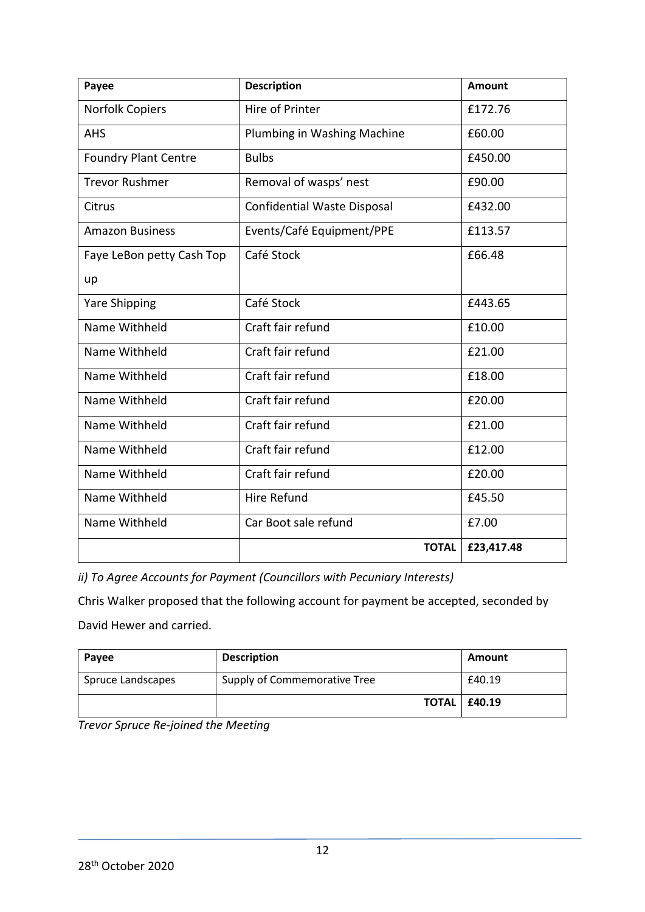| Payee                       | <b>Description</b>                 | <b>Amount</b> |
|-----------------------------|------------------------------------|---------------|
| <b>Norfolk Copiers</b>      | Hire of Printer                    | £172.76       |
| <b>AHS</b>                  | Plumbing in Washing Machine        | £60.00        |
| <b>Foundry Plant Centre</b> | <b>Bulbs</b>                       | £450.00       |
| <b>Trevor Rushmer</b>       | Removal of wasps' nest             | £90.00        |
| Citrus                      | <b>Confidential Waste Disposal</b> | £432.00       |
| <b>Amazon Business</b>      | Events/Café Equipment/PPE          | £113.57       |
| Faye LeBon petty Cash Top   | Café Stock                         | £66.48        |
| up                          |                                    |               |
| <b>Yare Shipping</b>        | Café Stock                         | £443.65       |
| Name Withheld               | Craft fair refund                  | £10.00        |
| Name Withheld               | Craft fair refund                  | £21.00        |
| Name Withheld               | Craft fair refund                  | £18.00        |
| Name Withheld               | Craft fair refund                  | £20.00        |
| Name Withheld               | Craft fair refund                  | £21.00        |
| Name Withheld               | Craft fair refund                  | £12.00        |
| Name Withheld               | Craft fair refund                  | £20.00        |
| Name Withheld               | <b>Hire Refund</b>                 | £45.50        |
| Name Withheld               | Car Boot sale refund               | £7.00         |
|                             | <b>TOTAL</b>                       | £23,417.48    |

*ii) To Agree Accounts for Payment (Councillors with Pecuniary Interests)*

Chris Walker proposed that the following account for payment be accepted, seconded by David Hewer and carried.

| Payee             | <b>Description</b>           | Amount                |
|-------------------|------------------------------|-----------------------|
| Spruce Landscapes | Supply of Commemorative Tree | £40.19                |
|                   |                              | <b>TOTAL   £40.19</b> |

*Trevor Spruce Re-joined the Meeting*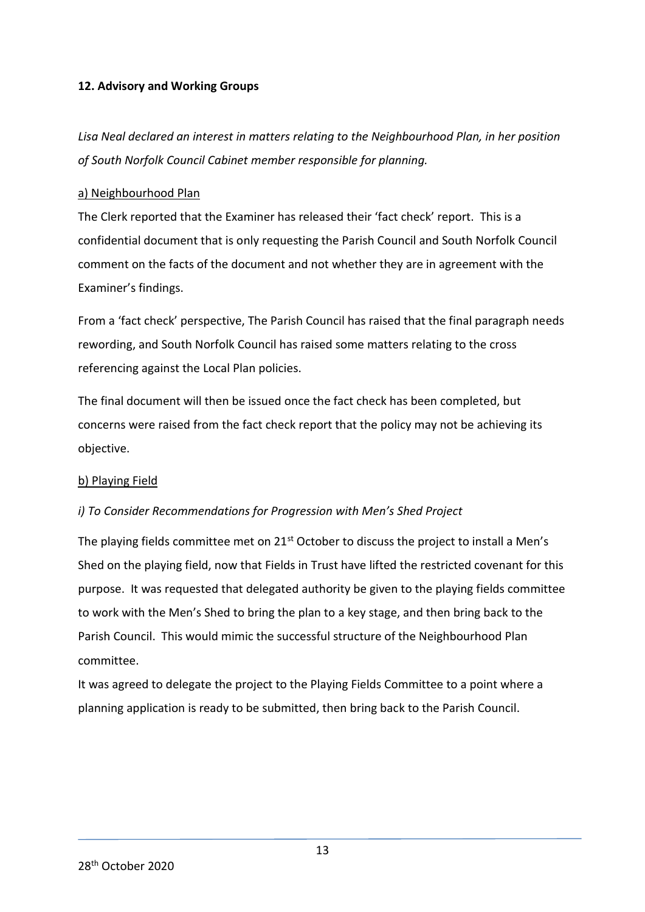#### **12. Advisory and Working Groups**

*Lisa Neal declared an interest in matters relating to the Neighbourhood Plan, in her position of South Norfolk Council Cabinet member responsible for planning.* 

#### a) Neighbourhood Plan

The Clerk reported that the Examiner has released their 'fact check' report. This is a confidential document that is only requesting the Parish Council and South Norfolk Council comment on the facts of the document and not whether they are in agreement with the Examiner's findings.

From a 'fact check' perspective, The Parish Council has raised that the final paragraph needs rewording, and South Norfolk Council has raised some matters relating to the cross referencing against the Local Plan policies.

The final document will then be issued once the fact check has been completed, but concerns were raised from the fact check report that the policy may not be achieving its objective.

#### b) Playing Field

## *i) To Consider Recommendations for Progression with Men's Shed Project*

The playing fields committee met on 21<sup>st</sup> October to discuss the project to install a Men's Shed on the playing field, now that Fields in Trust have lifted the restricted covenant for this purpose. It was requested that delegated authority be given to the playing fields committee to work with the Men's Shed to bring the plan to a key stage, and then bring back to the Parish Council. This would mimic the successful structure of the Neighbourhood Plan committee.

It was agreed to delegate the project to the Playing Fields Committee to a point where a planning application is ready to be submitted, then bring back to the Parish Council.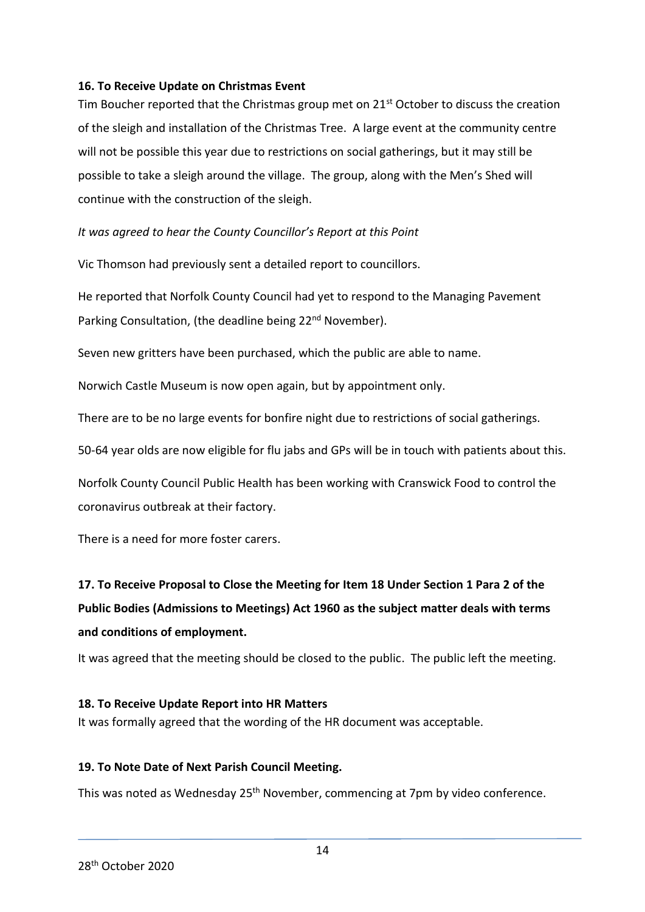#### **16. To Receive Update on Christmas Event**

Tim Boucher reported that the Christmas group met on 21<sup>st</sup> October to discuss the creation of the sleigh and installation of the Christmas Tree. A large event at the community centre will not be possible this year due to restrictions on social gatherings, but it may still be possible to take a sleigh around the village. The group, along with the Men's Shed will continue with the construction of the sleigh.

#### *It was agreed to hear the County Councillor's Report at this Point*

Vic Thomson had previously sent a detailed report to councillors.

He reported that Norfolk County Council had yet to respond to the Managing Pavement Parking Consultation, (the deadline being 22<sup>nd</sup> November).

Seven new gritters have been purchased, which the public are able to name.

Norwich Castle Museum is now open again, but by appointment only.

There are to be no large events for bonfire night due to restrictions of social gatherings.

50-64 year olds are now eligible for flu jabs and GPs will be in touch with patients about this.

Norfolk County Council Public Health has been working with Cranswick Food to control the coronavirus outbreak at their factory.

There is a need for more foster carers.

# **17. To Receive Proposal to Close the Meeting for Item 18 Under Section 1 Para 2 of the Public Bodies (Admissions to Meetings) Act 1960 as the subject matter deals with terms and conditions of employment.**

It was agreed that the meeting should be closed to the public. The public left the meeting.

#### **18. To Receive Update Report into HR Matters** It was formally agreed that the wording of the HR document was acceptable.

#### **19. To Note Date of Next Parish Council Meeting.**

This was noted as Wednesday 25<sup>th</sup> November, commencing at 7pm by video conference.